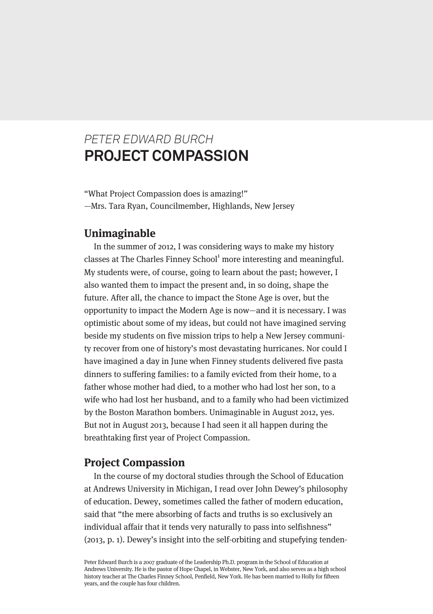# *PETER EDWARD BURCH* **PROJECT COMPASSION**

"What Project Compassion does is amazing!" —Mrs. Tara Ryan, Councilmember, Highlands, New Jersey

## **Unimaginable**

In the summer of 2012, I was considering ways to make my history classes at The Charles Finney School<sup>1</sup> more interesting and meaningful. My students were, of course, going to learn about the past; however, I also wanted them to impact the present and, in so doing, shape the future. After all, the chance to impact the Stone Age is over, but the opportunity to impact the Modern Age is now—and it is necessary. I was optimistic about some of my ideas, but could not have imagined serving beside my students on five mission trips to help a New Jersey community recover from one of history's most devastating hurricanes. Nor could I have imagined a day in June when Finney students delivered five pasta dinners to suffering families: to a family evicted from their home, to a father whose mother had died, to a mother who had lost her son, to a wife who had lost her husband, and to a family who had been victimized by the Boston Marathon bombers. Unimaginable in August 2012, yes. But not in August 2013, because I had seen it all happen during the breathtaking first year of Project Compassion.

## **Project Compassion**

In the course of my doctoral studies through the School of Education at Andrews University in Michigan, I read over John Dewey's philosophy of education. Dewey, sometimes called the father of modern education, said that "the mere absorbing of facts and truths is so exclusively an individual affair that it tends very naturally to pass into selfishness" (2013, p. 1). Dewey's insight into the self-orbiting and stupefying tenden-

Peter Edward Burch is a 2007 graduate of the Leadership Ph.D. program in the School of Education at Andrews University. He is the pastor of Hope Chapel, in Webster, New York, and also serves as a high school history teacher at The Charles Finney School, Penfield, New York. He has been married to Holly for fifteen years, and the couple has four children.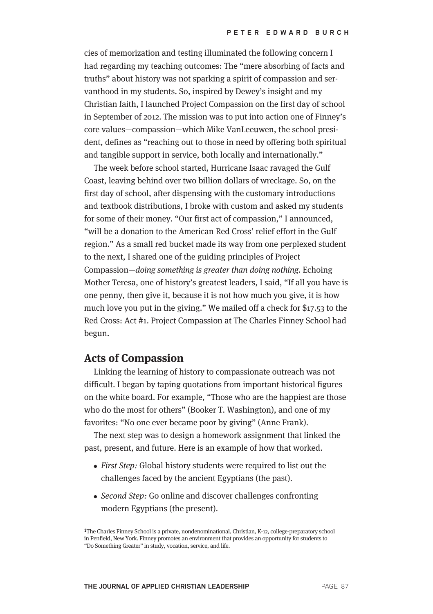cies of memorization and testing illuminated the following concern I had regarding my teaching outcomes: The "mere absorbing of facts and truths" about history was not sparking a spirit of compassion and servanthood in my students. So, inspired by Dewey's insight and my Christian faith, I launched Project Compassion on the first day of school in September of 2012. The mission was to put into action one of Finney's core values—compassion—which Mike VanLeeuwen, the school president, defines as "reaching out to those in need by offering both spiritual and tangible support in service, both locally and internationally."

The week before school started, Hurricane Isaac ravaged the Gulf Coast, leaving behind over two billion dollars of wreckage. So, on the first day of school, after dispensing with the customary introductions and textbook distributions, I broke with custom and asked my students for some of their money. "Our first act of compassion," I announced, "will be a donation to the American Red Cross' relief effort in the Gulf region." As a small red bucket made its way from one perplexed student to the next, I shared one of the guiding principles of Project Compassion—doing something is greater than doing nothing. Echoing Mother Teresa, one of history's greatest leaders, I said, "If all you have is one penny, then give it, because it is not how much you give, it is how much love you put in the giving." We mailed off a check for \$17.53 to the Red Cross: Act #1. Project Compassion at The Charles Finney School had begun.

### **Acts of Compassion**

Linking the learning of history to compassionate outreach was not difficult. I began by taping quotations from important historical figures on the white board. For example, "Those who are the happiest are those who do the most for others" (Booker T. Washington), and one of my favorites: "No one ever became poor by giving" (Anne Frank).

The next step was to design a homework assignment that linked the past, present, and future. Here is an example of how that worked.

- First Step: Global history students were required to list out the challenges faced by the ancient Egyptians (the past).
- Second Step: Go online and discover challenges confronting modern Egyptians (the present).

1The Charles Finney School is a private, nondenominational, Christian, K-12, college-preparatory school in Penfield, New York. Finney promotes an environment that provides an opportunity for students to "Do Something Greater" in study, vocation, service, and life.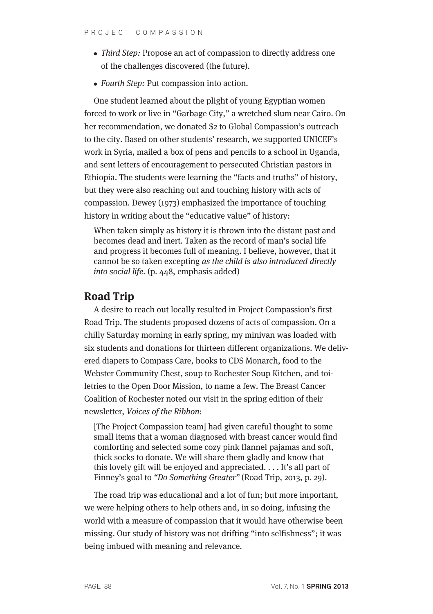- Third Step: Propose an act of compassion to directly address one of the challenges discovered (the future).
- Fourth Step: Put compassion into action.

One student learned about the plight of young Egyptian women forced to work or live in "Garbage City," a wretched slum near Cairo. On her recommendation, we donated \$2 to Global Compassion's outreach to the city. Based on other students' research, we supported UNICEF's work in Syria, mailed a box of pens and pencils to a school in Uganda, and sent letters of encouragement to persecuted Christian pastors in Ethiopia. The students were learning the "facts and truths" of history, but they were also reaching out and touching history with acts of compassion. Dewey (1973) emphasized the importance of touching history in writing about the "educative value" of history:

When taken simply as history it is thrown into the distant past and becomes dead and inert. Taken as the record of man's social life and progress it becomes full of meaning. I believe, however, that it cannot be so taken excepting as the child is also introduced directly into social life. (p. 448, emphasis added)

## **Road Trip**

A desire to reach out locally resulted in Project Compassion's first Road Trip. The students proposed dozens of acts of compassion. On a chilly Saturday morning in early spring, my minivan was loaded with six students and donations for thirteen different organizations. We delivered diapers to Compass Care, books to CDS Monarch, food to the Webster Community Chest, soup to Rochester Soup Kitchen, and toiletries to the Open Door Mission, to name a few. The Breast Cancer Coalition of Rochester noted our visit in the spring edition of their newsletter, Voices of the Ribbon:

[The Project Compassion team] had given careful thought to some small items that a woman diagnosed with breast cancer would find comforting and selected some cozy pink flannel pajamas and soft, thick socks to donate. We will share them gladly and know that this lovely gift will be enjoyed and appreciated. . . . It's all part of Finney's goal to "Do Something Greater" (Road Trip, 2013, p. 29).

The road trip was educational and a lot of fun; but more important, we were helping others to help others and, in so doing, infusing the world with a measure of compassion that it would have otherwise been missing. Our study of history was not drifting "into selfishness"; it was being imbued with meaning and relevance.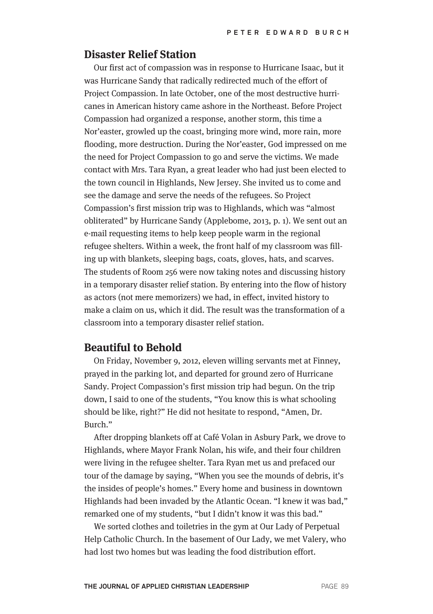#### **Disaster Relief Station**

Our first act of compassion was in response to Hurricane Isaac, but it was Hurricane Sandy that radically redirected much of the effort of Project Compassion. In late October, one of the most destructive hurricanes in American history came ashore in the Northeast. Before Project Compassion had organized a response, another storm, this time a Nor'easter, growled up the coast, bringing more wind, more rain, more flooding, more destruction. During the Nor'easter, God impressed on me the need for Project Compassion to go and serve the victims. We made contact with Mrs. Tara Ryan, a great leader who had just been elected to the town council in Highlands, New Jersey. She invited us to come and see the damage and serve the needs of the refugees. So Project Compassion's first mission trip was to Highlands, which was "almost obliterated" by Hurricane Sandy (Applebome, 2013, p. 1). We sent out an e-mail requesting items to help keep people warm in the regional refugee shelters. Within a week, the front half of my classroom was filling up with blankets, sleeping bags, coats, gloves, hats, and scarves. The students of Room 256 were now taking notes and discussing history in a temporary disaster relief station. By entering into the flow of history as actors (not mere memorizers) we had, in effect, invited history to make a claim on us, which it did. The result was the transformation of a classroom into a temporary disaster relief station.

### **Beautiful to Behold**

On Friday, November 9, 2012, eleven willing servants met at Finney, prayed in the parking lot, and departed for ground zero of Hurricane Sandy. Project Compassion's first mission trip had begun. On the trip down, I said to one of the students, "You know this is what schooling should be like, right?" He did not hesitate to respond, "Amen, Dr. Burch<sup>"</sup>

After dropping blankets off at Café Volan in Asbury Park, we drove to Highlands, where Mayor Frank Nolan, his wife, and their four children were living in the refugee shelter. Tara Ryan met us and prefaced our tour of the damage by saying, "When you see the mounds of debris, it's the insides of people's homes." Every home and business in downtown Highlands had been invaded by the Atlantic Ocean. "I knew it was bad," remarked one of my students, "but I didn't know it was this bad."

We sorted clothes and toiletries in the gym at Our Lady of Perpetual Help Catholic Church. In the basement of Our Lady, we met Valery, who had lost two homes but was leading the food distribution effort.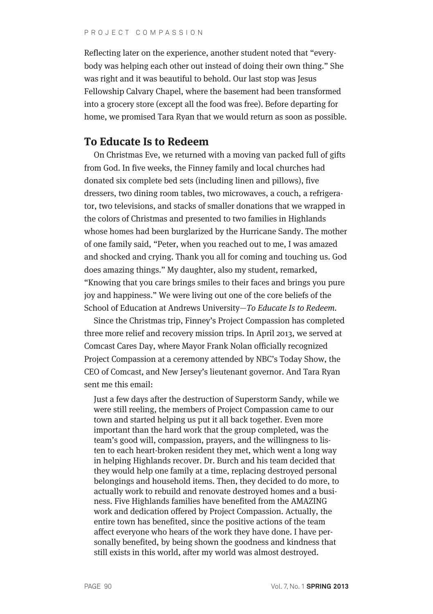Reflecting later on the experience, another student noted that "everybody was helping each other out instead of doing their own thing." She was right and it was beautiful to behold. Our last stop was Jesus Fellowship Calvary Chapel, where the basement had been transformed into a grocery store (except all the food was free). Before departing for home, we promised Tara Ryan that we would return as soon as possible.

## **To Educate Is to Redeem**

On Christmas Eve, we returned with a moving van packed full of gifts from God. In five weeks, the Finney family and local churches had donated six complete bed sets (including linen and pillows), five dressers, two dining room tables, two microwaves, a couch, a refrigerator, two televisions, and stacks of smaller donations that we wrapped in the colors of Christmas and presented to two families in Highlands whose homes had been burglarized by the Hurricane Sandy. The mother of one family said, "Peter, when you reached out to me, I was amazed and shocked and crying. Thank you all for coming and touching us. God does amazing things." My daughter, also my student, remarked, "Knowing that you care brings smiles to their faces and brings you pure joy and happiness." We were living out one of the core beliefs of the School of Education at Andrews University—To Educate Is to Redeem.

Since the Christmas trip, Finney's Project Compassion has completed three more relief and recovery mission trips. In April 2013, we served at Comcast Cares Day, where Mayor Frank Nolan officially recognized Project Compassion at a ceremony attended by NBC's Today Show, the CEO of Comcast, and New Jersey's lieutenant governor. And Tara Ryan sent me this email:

Just a few days after the destruction of Superstorm Sandy, while we were still reeling, the members of Project Compassion came to our town and started helping us put it all back together. Even more important than the hard work that the group completed, was the team's good will, compassion, prayers, and the willingness to listen to each heart-broken resident they met, which went a long way in helping Highlands recover. Dr. Burch and his team decided that they would help one family at a time, replacing destroyed personal belongings and household items. Then, they decided to do more, to actually work to rebuild and renovate destroyed homes and a business. Five Highlands families have benefited from the AMAZING work and dedication offered by Project Compassion. Actually, the entire town has benefited, since the positive actions of the team affect everyone who hears of the work they have done. I have personally benefited, by being shown the goodness and kindness that still exists in this world, after my world was almost destroyed.